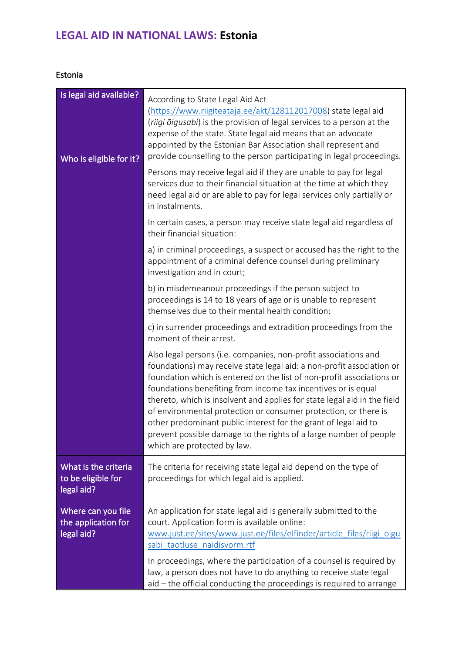## **LEGAL AID IN NATIONAL LAWS: Estonia**

## Estonia

| Is legal aid available?<br>Who is eligible for it?       | According to State Legal Aid Act<br>(https://www.riigiteataja.ee/akt/128112017008) state legal aid<br>(riigi õigusabi) is the provision of legal services to a person at the<br>expense of the state. State legal aid means that an advocate<br>appointed by the Estonian Bar Association shall represent and<br>provide counselling to the person participating in legal proceedings.<br>Persons may receive legal aid if they are unable to pay for legal<br>services due to their financial situation at the time at which they<br>need legal aid or are able to pay for legal services only partially or<br>in instalments.<br>In certain cases, a person may receive state legal aid regardless of |
|----------------------------------------------------------|---------------------------------------------------------------------------------------------------------------------------------------------------------------------------------------------------------------------------------------------------------------------------------------------------------------------------------------------------------------------------------------------------------------------------------------------------------------------------------------------------------------------------------------------------------------------------------------------------------------------------------------------------------------------------------------------------------|
|                                                          | their financial situation:<br>a) in criminal proceedings, a suspect or accused has the right to the<br>appointment of a criminal defence counsel during preliminary<br>investigation and in court;                                                                                                                                                                                                                                                                                                                                                                                                                                                                                                      |
|                                                          | b) in misdemeanour proceedings if the person subject to<br>proceedings is 14 to 18 years of age or is unable to represent<br>themselves due to their mental health condition;                                                                                                                                                                                                                                                                                                                                                                                                                                                                                                                           |
|                                                          | c) in surrender proceedings and extradition proceedings from the<br>moment of their arrest.                                                                                                                                                                                                                                                                                                                                                                                                                                                                                                                                                                                                             |
|                                                          | Also legal persons (i.e. companies, non-profit associations and<br>foundations) may receive state legal aid: a non-profit association or<br>foundation which is entered on the list of non-profit associations or<br>foundations benefiting from income tax incentives or is equal<br>thereto, which is insolvent and applies for state legal aid in the field<br>of environmental protection or consumer protection, or there is<br>other predominant public interest for the grant of legal aid to<br>prevent possible damage to the rights of a large number of people<br>which are protected by law.                                                                                                |
| What is the criteria<br>to be eligible for<br>legal aid? | The criteria for receiving state legal aid depend on the type of<br>proceedings for which legal aid is applied.                                                                                                                                                                                                                                                                                                                                                                                                                                                                                                                                                                                         |
| Where can you file<br>the application for<br>legal aid?  | An application for state legal aid is generally submitted to the<br>court. Application form is available online:<br>www.just.ee/sites/www.just.ee/files/elfinder/article files/riigi oigu<br>sabi taotluse naidisvorm.rtf                                                                                                                                                                                                                                                                                                                                                                                                                                                                               |
|                                                          | In proceedings, where the participation of a counsel is required by<br>law, a person does not have to do anything to receive state legal<br>aid - the official conducting the proceedings is required to arrange                                                                                                                                                                                                                                                                                                                                                                                                                                                                                        |